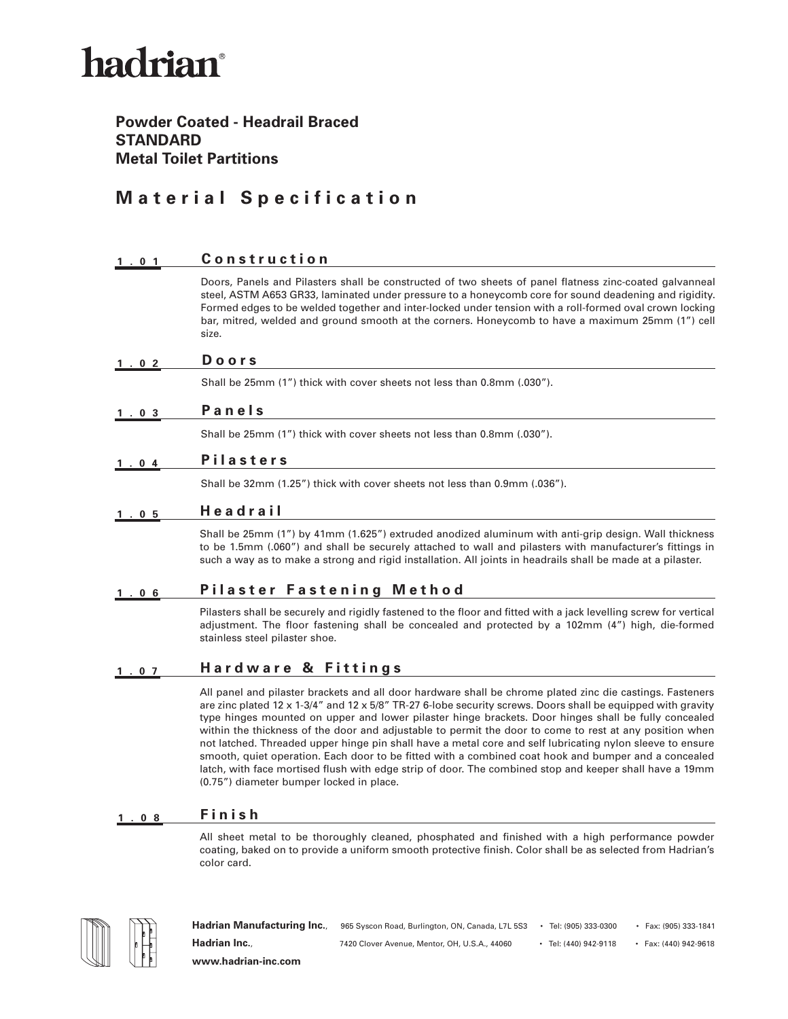## hadrian®

#### **Powder Coated - Headrail Braced STANDARD Metal Toilet Partitions**

### **Material Specification**

| 1.01           | Construction                                                                                                                                                                                                                                                                                                                                                                                                                                                                                                                                                                                                                                                                                                                                                                 |
|----------------|------------------------------------------------------------------------------------------------------------------------------------------------------------------------------------------------------------------------------------------------------------------------------------------------------------------------------------------------------------------------------------------------------------------------------------------------------------------------------------------------------------------------------------------------------------------------------------------------------------------------------------------------------------------------------------------------------------------------------------------------------------------------------|
|                | Doors, Panels and Pilasters shall be constructed of two sheets of panel flatness zinc-coated galvanneal<br>steel, ASTM A653 GR33, laminated under pressure to a honeycomb core for sound deadening and rigidity.<br>Formed edges to be welded together and inter-locked under tension with a roll-formed oval crown locking<br>bar, mitred, welded and ground smooth at the corners. Honeycomb to have a maximum 25mm (1") cell<br>size.                                                                                                                                                                                                                                                                                                                                     |
| 1.02           | Doors                                                                                                                                                                                                                                                                                                                                                                                                                                                                                                                                                                                                                                                                                                                                                                        |
|                | Shall be 25mm (1") thick with cover sheets not less than 0.8mm (.030").                                                                                                                                                                                                                                                                                                                                                                                                                                                                                                                                                                                                                                                                                                      |
| 1.03           | Panels                                                                                                                                                                                                                                                                                                                                                                                                                                                                                                                                                                                                                                                                                                                                                                       |
|                | Shall be 25mm (1") thick with cover sheets not less than 0.8mm (.030").                                                                                                                                                                                                                                                                                                                                                                                                                                                                                                                                                                                                                                                                                                      |
| 1.04           | <b>Pilasters</b>                                                                                                                                                                                                                                                                                                                                                                                                                                                                                                                                                                                                                                                                                                                                                             |
|                | Shall be 32mm (1.25") thick with cover sheets not less than 0.9mm (.036").                                                                                                                                                                                                                                                                                                                                                                                                                                                                                                                                                                                                                                                                                                   |
| $1.05$         | Headrail                                                                                                                                                                                                                                                                                                                                                                                                                                                                                                                                                                                                                                                                                                                                                                     |
|                | Shall be 25mm (1") by 41mm (1.625") extruded anodized aluminum with anti-grip design. Wall thickness<br>to be 1.5mm (.060") and shall be securely attached to wall and pilasters with manufacturer's fittings in<br>such a way as to make a strong and rigid installation. All joints in headrails shall be made at a pilaster.                                                                                                                                                                                                                                                                                                                                                                                                                                              |
| 0 <sub>6</sub> | Pilaster Fastening Method                                                                                                                                                                                                                                                                                                                                                                                                                                                                                                                                                                                                                                                                                                                                                    |
|                | Pilasters shall be securely and rigidly fastened to the floor and fitted with a jack levelling screw for vertical<br>adjustment. The floor fastening shall be concealed and protected by a 102mm (4") high, die-formed<br>stainless steel pilaster shoe.                                                                                                                                                                                                                                                                                                                                                                                                                                                                                                                     |
| 1.07           | <b>Hardware &amp; Fittings</b>                                                                                                                                                                                                                                                                                                                                                                                                                                                                                                                                                                                                                                                                                                                                               |
|                | All panel and pilaster brackets and all door hardware shall be chrome plated zinc die castings. Fasteners<br>are zinc plated 12 x 1-3/4" and 12 x 5/8" TR-27 6-lobe security screws. Doors shall be equipped with gravity<br>type hinges mounted on upper and lower pilaster hinge brackets. Door hinges shall be fully concealed<br>within the thickness of the door and adjustable to permit the door to come to rest at any position when<br>not latched. Threaded upper hinge pin shall have a metal core and self lubricating nylon sleeve to ensure<br>smooth, quiet operation. Each door to be fitted with a combined coat hook and bumper and a concealed<br>latch, with face mortised flush with edge strip of door. The combined stop and keeper shall have a 19mm |

### **1.08 Finish**

(0.75") diameter bumper locked in place.

All sheet metal to be thoroughly cleaned, phosphated and finished with a high performance powder coating, baked on to provide a uniform smooth protective finish. Color shall be as selected from Hadrian's color card.



Hadrian Manufacturing Inc., 965 Syscon Road, Burlington, ON, Canada, L7L 5S3 • Tel: (905) 333-0300 • Fax: (905) 333-1841 **Hadrian Inc.**, 7420 Clover Avenue, Mentor, OH, U.S.A., 44060 • Tel: (440) 942-9118 • Fax: (440) 942-9618 **www.hadrian-inc.com**